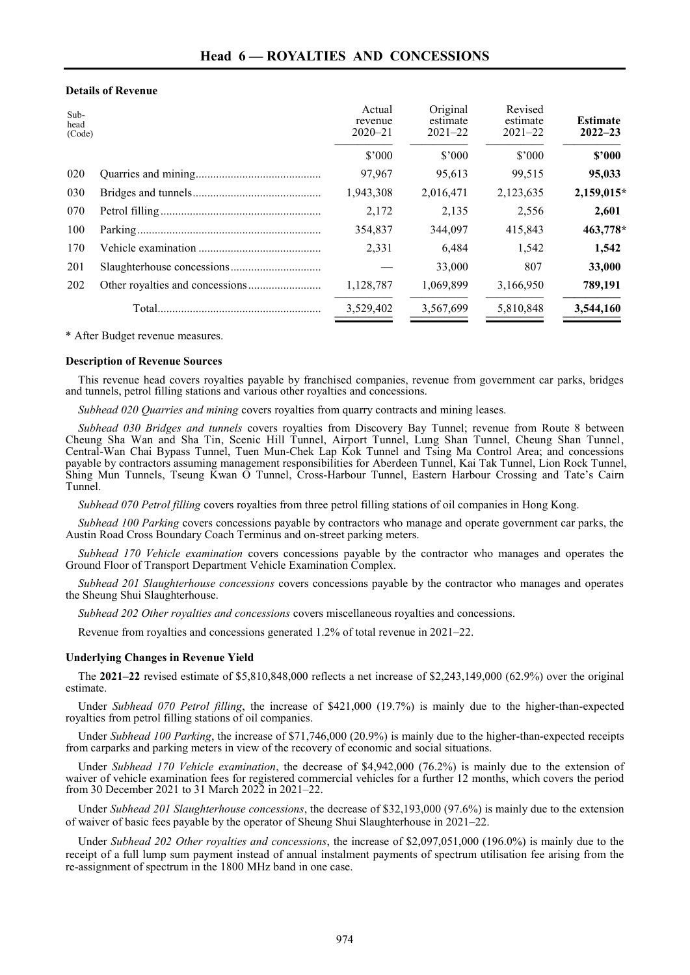## **Details of Revenue**

| Sub-<br>head<br>(Code) | Actual<br>revenue<br>$2020 - 21$ | Original<br>estimate<br>$2021 - 22$ | Revised<br>estimate<br>$2021 - 22$ | <b>Estimate</b><br>$2022 - 23$ |
|------------------------|----------------------------------|-------------------------------------|------------------------------------|--------------------------------|
|                        | \$'000                           | \$'000                              | \$'000                             | \$2000                         |
| 020                    | 97,967                           | 95,613                              | 99,515                             | 95,033                         |
| 030                    | 1,943,308                        | 2,016,471                           | 2,123,635                          | 2,159,015*                     |
| 070                    | 2,172                            | 2,135                               | 2,556                              | 2,601                          |
| 100                    | 354.837                          | 344,097                             | 415,843                            | 463,778*                       |
| 170                    | 2,331                            | 6.484                               | 1,542                              | 1,542                          |
| 201                    |                                  | 33,000                              | 807                                | 33,000                         |
| 202                    | 1,128,787                        | 1,069,899                           | 3,166,950                          | 789,191                        |
|                        | 3,529,402                        | 3,567,699                           | 5,810,848                          | 3,544,160                      |

\* After Budget revenue measures.

## **Description of Revenue Sources**

This revenue head covers royalties payable by franchised companies, revenue from government car parks, bridges and tunnels, petrol filling stations and various other royalties and concessions.

*Subhead 020 Quarries and mining* covers royalties from quarry contracts and mining leases.

*Subhead 030 Bridges and tunnels* covers royalties from Discovery Bay Tunnel; revenue from Route 8 between Cheung Sha Wan and Sha Tin, Scenic Hill Tunnel, Airport Tunnel, Lung Shan Tunnel, Cheung Shan Tunnel, Central-Wan Chai Bypass Tunnel, Tuen Mun-Chek Lap Kok Tunnel and Tsing Ma Control Area; and concessions payable by contractors assuming management responsibilities for Aberdeen Tunnel, Kai Tak Tunnel, Lion Rock Tunnel, Shing Mun Tunnels, Tseung Kwan O Tunnel, Cross-Harbour Tunnel, Eastern Harbour Crossing and Tate's Cairn Tunnel.

*Subhead 070 Petrol filling* covers royalties from three petrol filling stations of oil companies in Hong Kong.

*Subhead 100 Parking* covers concessions payable by contractors who manage and operate government car parks, the Austin Road Cross Boundary Coach Terminus and on-street parking meters.

*Subhead 170 Vehicle examination* covers concessions payable by the contractor who manages and operates the Ground Floor of Transport Department Vehicle Examination Complex.

*Subhead 201 Slaughterhouse concessions* covers concessions payable by the contractor who manages and operates the Sheung Shui Slaughterhouse.

*Subhead 202 Other royalties and concessions* covers miscellaneous royalties and concessions.

Revenue from royalties and concessions generated 1.2% of total revenue in 2021–22.

## **Underlying Changes in Revenue Yield**

The **2021–22** revised estimate of \$5,810,848,000 reflects a net increase of \$2,243,149,000 (62.9%) over the original estimate.

Under *Subhead 070 Petrol filling*, the increase of \$421,000 (19.7%) is mainly due to the higher-than-expected royalties from petrol filling stations of oil companies.

Under *Subhead 100 Parking*, the increase of \$71,746,000 (20.9%) is mainly due to the higher-than-expected receipts from carparks and parking meters in view of the recovery of economic and social situations.

Under *Subhead 170 Vehicle examination*, the decrease of \$4,942,000 (76.2%) is mainly due to the extension of waiver of vehicle examination fees for registered commercial vehicles for a further 12 months, which covers the period from 30 December 2021 to 31 March 2022 in 2021–22.

Under *Subhead 201 Slaughterhouse concessions*, the decrease of \$32,193,000 (97.6%) is mainly due to the extension of waiver of basic fees payable by the operator of Sheung Shui Slaughterhouse in 2021–22.

Under *Subhead 202 Other royalties and concessions*, the increase of \$2,097,051,000 (196.0%) is mainly due to the receipt of a full lump sum payment instead of annual instalment payments of spectrum utilisation fee arising from the re-assignment of spectrum in the 1800 MHz band in one case.